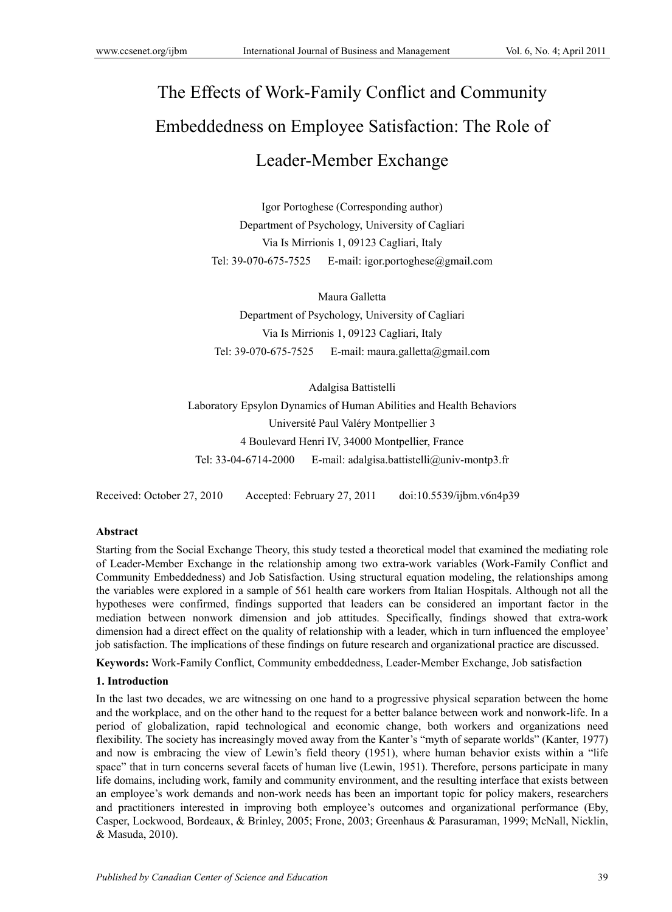# The Effects of Work-Family Conflict and Community Embeddedness on Employee Satisfaction: The Role of Leader-Member Exchange

Igor Portoghese (Corresponding author) Department of Psychology, University of Cagliari Via Is Mirrionis 1, 09123 Cagliari, Italy Tel: 39-070-675-7525 E-mail: igor.portoghese@gmail.com

Maura Galletta Department of Psychology, University of Cagliari Via Is Mirrionis 1, 09123 Cagliari, Italy Tel: 39-070-675-7525 E-mail: maura.galletta@gmail.com

Adalgisa Battistelli Laboratory Epsylon Dynamics of Human Abilities and Health Behaviors Université Paul Valéry Montpellier 3 4 Boulevard Henri IV, 34000 Montpellier, France Tel: 33-04-6714-2000 E-mail: adalgisa.battistelli@univ-montp3.fr

Received: October 27, 2010 Accepted: February 27, 2011 doi:10.5539/ijbm.v6n4p39

## **Abstract**

Starting from the Social Exchange Theory, this study tested a theoretical model that examined the mediating role of Leader-Member Exchange in the relationship among two extra-work variables (Work-Family Conflict and Community Embeddedness) and Job Satisfaction. Using structural equation modeling, the relationships among the variables were explored in a sample of 561 health care workers from Italian Hospitals. Although not all the hypotheses were confirmed, findings supported that leaders can be considered an important factor in the mediation between nonwork dimension and job attitudes. Specifically, findings showed that extra-work dimension had a direct effect on the quality of relationship with a leader, which in turn influenced the employee' job satisfaction. The implications of these findings on future research and organizational practice are discussed.

**Keywords:** Work-Family Conflict, Community embeddedness, Leader-Member Exchange, Job satisfaction

## **1. Introduction**

In the last two decades, we are witnessing on one hand to a progressive physical separation between the home and the workplace, and on the other hand to the request for a better balance between work and nonwork-life. In a period of globalization, rapid technological and economic change, both workers and organizations need flexibility. The society has increasingly moved away from the Kanter's "myth of separate worlds" (Kanter, 1977) and now is embracing the view of Lewin's field theory (1951), where human behavior exists within a "life space" that in turn concerns several facets of human live (Lewin, 1951). Therefore, persons participate in many life domains, including work, family and community environment, and the resulting interface that exists between an employee's work demands and non-work needs has been an important topic for policy makers, researchers and practitioners interested in improving both employee's outcomes and organizational performance (Eby, Casper, Lockwood, Bordeaux, & Brinley, 2005; Frone, 2003; Greenhaus & Parasuraman, 1999; McNall, Nicklin, & Masuda, 2010).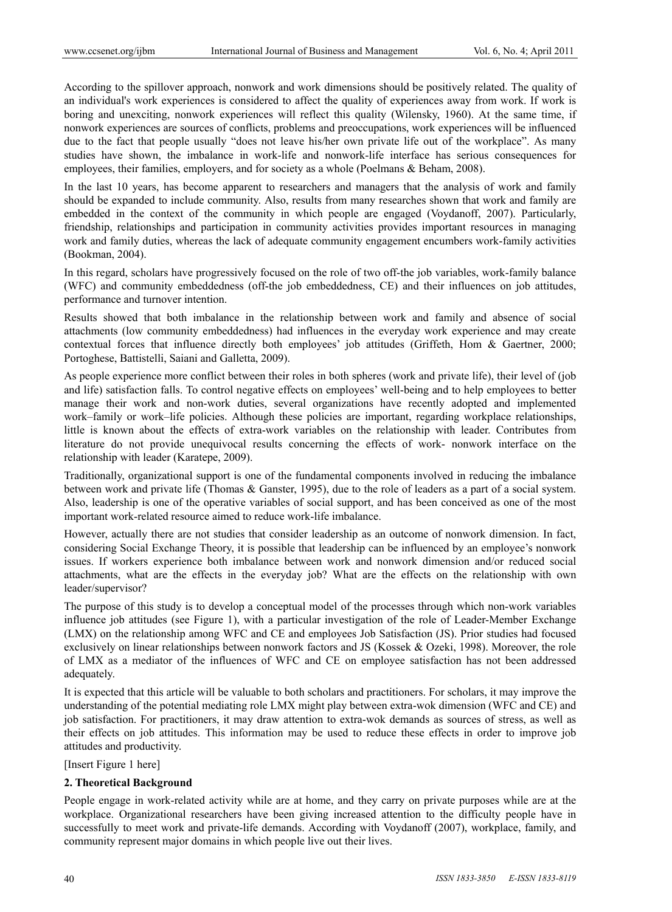According to the spillover approach, nonwork and work dimensions should be positively related. The quality of an individual's work experiences is considered to affect the quality of experiences away from work. If work is boring and unexciting, nonwork experiences will reflect this quality (Wilensky, 1960). At the same time, if nonwork experiences are sources of conflicts, problems and preoccupations, work experiences will be influenced due to the fact that people usually "does not leave his/her own private life out of the workplace". As many studies have shown, the imbalance in work-life and nonwork-life interface has serious consequences for employees, their families, employers, and for society as a whole (Poelmans & Beham, 2008).

In the last 10 years, has become apparent to researchers and managers that the analysis of work and family should be expanded to include community. Also, results from many researches shown that work and family are embedded in the context of the community in which people are engaged (Voydanoff, 2007). Particularly, friendship, relationships and participation in community activities provides important resources in managing work and family duties, whereas the lack of adequate community engagement encumbers work-family activities (Bookman, 2004).

In this regard, scholars have progressively focused on the role of two off-the job variables, work-family balance (WFC) and community embeddedness (off-the job embeddedness, CE) and their influences on job attitudes, performance and turnover intention.

Results showed that both imbalance in the relationship between work and family and absence of social attachments (low community embeddedness) had influences in the everyday work experience and may create contextual forces that influence directly both employees' job attitudes (Griffeth, Hom & Gaertner, 2000; Portoghese, Battistelli, Saiani and Galletta, 2009).

As people experience more conflict between their roles in both spheres (work and private life), their level of (job and life) satisfaction falls. To control negative effects on employees' well-being and to help employees to better manage their work and non-work duties, several organizations have recently adopted and implemented work–family or work–life policies. Although these policies are important, regarding workplace relationships, little is known about the effects of extra-work variables on the relationship with leader. Contributes from literature do not provide unequivocal results concerning the effects of work- nonwork interface on the relationship with leader (Karatepe, 2009).

Traditionally, organizational support is one of the fundamental components involved in reducing the imbalance between work and private life (Thomas & Ganster, 1995), due to the role of leaders as a part of a social system. Also, leadership is one of the operative variables of social support, and has been conceived as one of the most important work-related resource aimed to reduce work-life imbalance.

However, actually there are not studies that consider leadership as an outcome of nonwork dimension. In fact, considering Social Exchange Theory, it is possible that leadership can be influenced by an employee's nonwork issues. If workers experience both imbalance between work and nonwork dimension and/or reduced social attachments, what are the effects in the everyday job? What are the effects on the relationship with own leader/supervisor?

The purpose of this study is to develop a conceptual model of the processes through which non-work variables influence job attitudes (see Figure 1), with a particular investigation of the role of Leader-Member Exchange (LMX) on the relationship among WFC and CE and employees Job Satisfaction (JS). Prior studies had focused exclusively on linear relationships between nonwork factors and JS (Kossek & Ozeki, 1998). Moreover, the role of LMX as a mediator of the influences of WFC and CE on employee satisfaction has not been addressed adequately.

It is expected that this article will be valuable to both scholars and practitioners. For scholars, it may improve the understanding of the potential mediating role LMX might play between extra-wok dimension (WFC and CE) and job satisfaction. For practitioners, it may draw attention to extra-wok demands as sources of stress, as well as their effects on job attitudes. This information may be used to reduce these effects in order to improve job attitudes and productivity.

[Insert Figure 1 here]

# **2. Theoretical Background**

People engage in work-related activity while are at home, and they carry on private purposes while are at the workplace. Organizational researchers have been giving increased attention to the difficulty people have in successfully to meet work and private-life demands. According with Voydanoff (2007), workplace, family, and community represent major domains in which people live out their lives.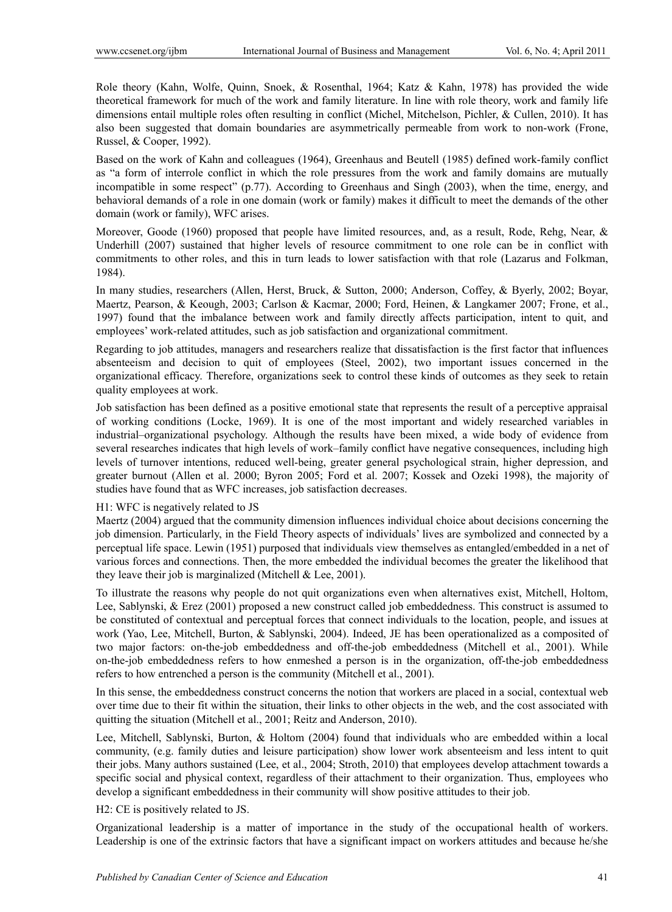Role theory (Kahn, Wolfe, Quinn, Snoek, & Rosenthal, 1964; Katz & Kahn, 1978) has provided the wide theoretical framework for much of the work and family literature. In line with role theory, work and family life dimensions entail multiple roles often resulting in conflict (Michel, Mitchelson, Pichler, & Cullen, 2010). It has also been suggested that domain boundaries are asymmetrically permeable from work to non-work (Frone, Russel, & Cooper, 1992).

Based on the work of Kahn and colleagues (1964), Greenhaus and Beutell (1985) defined work-family conflict as "a form of interrole conflict in which the role pressures from the work and family domains are mutually incompatible in some respect" (p.77). According to Greenhaus and Singh (2003), when the time, energy, and behavioral demands of a role in one domain (work or family) makes it difficult to meet the demands of the other domain (work or family), WFC arises.

Moreover, Goode (1960) proposed that people have limited resources, and, as a result, Rode, Rehg, Near, & Underhill (2007) sustained that higher levels of resource commitment to one role can be in conflict with commitments to other roles, and this in turn leads to lower satisfaction with that role (Lazarus and Folkman, 1984).

In many studies, researchers (Allen, Herst, Bruck, & Sutton, 2000; Anderson, Coffey, & Byerly, 2002; Boyar, Maertz, Pearson, & Keough, 2003; Carlson & Kacmar, 2000; Ford, Heinen, & Langkamer 2007; Frone, et al., 1997) found that the imbalance between work and family directly affects participation, intent to quit, and employees' work-related attitudes, such as job satisfaction and organizational commitment.

Regarding to job attitudes, managers and researchers realize that dissatisfaction is the first factor that influences absenteeism and decision to quit of employees (Steel, 2002), two important issues concerned in the organizational efficacy. Therefore, organizations seek to control these kinds of outcomes as they seek to retain quality employees at work.

Job satisfaction has been defined as a positive emotional state that represents the result of a perceptive appraisal of working conditions (Locke, 1969). It is one of the most important and widely researched variables in industrial–organizational psychology. Although the results have been mixed, a wide body of evidence from several researches indicates that high levels of work–family conflict have negative consequences, including high levels of turnover intentions, reduced well-being, greater general psychological strain, higher depression, and greater burnout (Allen et al. 2000; Byron 2005; Ford et al. 2007; Kossek and Ozeki 1998), the majority of studies have found that as WFC increases, job satisfaction decreases.

## H1: WFC is negatively related to JS

Maertz (2004) argued that the community dimension influences individual choice about decisions concerning the job dimension. Particularly, in the Field Theory aspects of individuals' lives are symbolized and connected by a perceptual life space. Lewin (1951) purposed that individuals view themselves as entangled/embedded in a net of various forces and connections. Then, the more embedded the individual becomes the greater the likelihood that they leave their job is marginalized (Mitchell & Lee, 2001).

To illustrate the reasons why people do not quit organizations even when alternatives exist, Mitchell, Holtom, Lee, Sablynski, & Erez (2001) proposed a new construct called job embeddedness. This construct is assumed to be constituted of contextual and perceptual forces that connect individuals to the location, people, and issues at work (Yao, Lee, Mitchell, Burton, & Sablynski, 2004). Indeed, JE has been operationalized as a composited of two major factors: on-the-job embeddedness and off-the-job embeddedness (Mitchell et al., 2001). While on-the-job embeddedness refers to how enmeshed a person is in the organization, off-the-job embeddedness refers to how entrenched a person is the community (Mitchell et al., 2001).

In this sense, the embeddedness construct concerns the notion that workers are placed in a social, contextual web over time due to their fit within the situation, their links to other objects in the web, and the cost associated with quitting the situation (Mitchell et al., 2001; Reitz and Anderson, 2010).

Lee, Mitchell, Sablynski, Burton, & Holtom (2004) found that individuals who are embedded within a local community, (e.g. family duties and leisure participation) show lower work absenteeism and less intent to quit their jobs. Many authors sustained (Lee, et al., 2004; Stroth, 2010) that employees develop attachment towards a specific social and physical context, regardless of their attachment to their organization. Thus, employees who develop a significant embeddedness in their community will show positive attitudes to their job.

H2: CE is positively related to JS.

Organizational leadership is a matter of importance in the study of the occupational health of workers. Leadership is one of the extrinsic factors that have a significant impact on workers attitudes and because he/she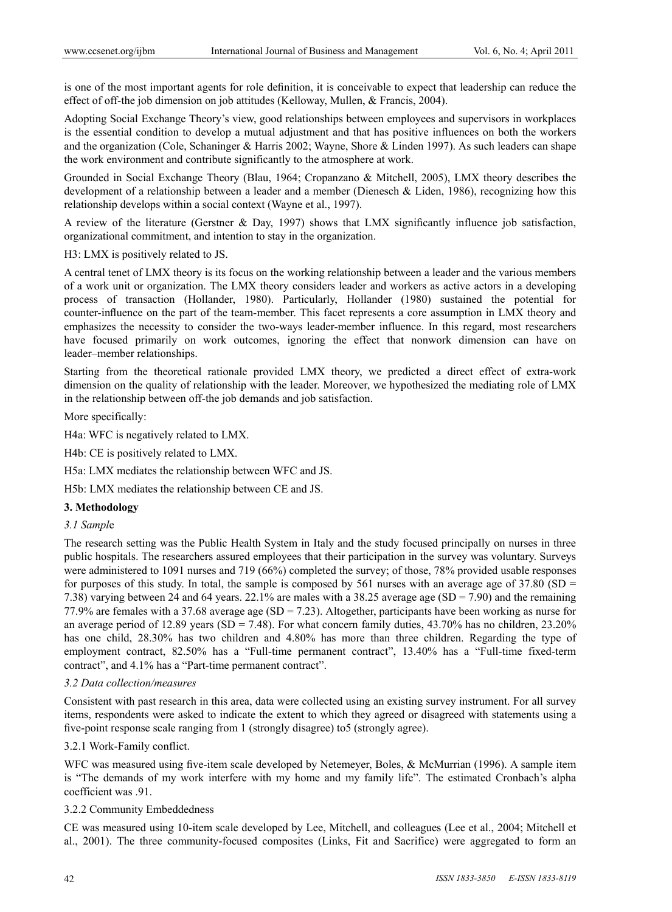is one of the most important agents for role definition, it is conceivable to expect that leadership can reduce the effect of off-the job dimension on job attitudes (Kelloway, Mullen, & Francis, 2004).

Adopting Social Exchange Theory's view, good relationships between employees and supervisors in workplaces is the essential condition to develop a mutual adjustment and that has positive influences on both the workers and the organization (Cole, Schaninger & Harris 2002; Wayne, Shore & Linden 1997). As such leaders can shape the work environment and contribute significantly to the atmosphere at work.

Grounded in Social Exchange Theory (Blau, 1964; Cropanzano & Mitchell, 2005), LMX theory describes the development of a relationship between a leader and a member (Dienesch & Liden, 1986), recognizing how this relationship develops within a social context (Wayne et al., 1997).

A review of the literature (Gerstner & Day, 1997) shows that LMX significantly influence job satisfaction, organizational commitment, and intention to stay in the organization.

H3: LMX is positively related to JS.

A central tenet of LMX theory is its focus on the working relationship between a leader and the various members of a work unit or organization. The LMX theory considers leader and workers as active actors in a developing process of transaction (Hollander, 1980). Particularly, Hollander (1980) sustained the potential for counter-influence on the part of the team-member. This facet represents a core assumption in LMX theory and emphasizes the necessity to consider the two-ways leader-member influence. In this regard, most researchers have focused primarily on work outcomes, ignoring the effect that nonwork dimension can have on leader–member relationships.

Starting from the theoretical rationale provided LMX theory, we predicted a direct effect of extra-work dimension on the quality of relationship with the leader. Moreover, we hypothesized the mediating role of LMX in the relationship between off-the job demands and job satisfaction.

More specifically:

H4a: WFC is negatively related to LMX.

H4b: CE is positively related to LMX.

H5a: LMX mediates the relationship between WFC and JS.

H5b: LMX mediates the relationship between CE and JS.

## **3. Methodology**

## *3.1 Sampl*e

The research setting was the Public Health System in Italy and the study focused principally on nurses in three public hospitals. The researchers assured employees that their participation in the survey was voluntary. Surveys were administered to 1091 nurses and 719 (66%) completed the survey; of those, 78% provided usable responses for purposes of this study. In total, the sample is composed by 561 nurses with an average age of 37.80 (SD = 7.38) varying between 24 and 64 years. 22.1% are males with a 38.25 average age (SD = 7.90) and the remaining 77.9% are females with a 37.68 average age  $(SD = 7.23)$ . Altogether, participants have been working as nurse for an average period of 12.89 years (SD = 7.48). For what concern family duties,  $43.70\%$  has no children,  $23.20\%$ has one child, 28.30% has two children and 4.80% has more than three children. Regarding the type of employment contract, 82.50% has a "Full-time permanent contract", 13.40% has a "Full-time fixed-term contract", and 4.1% has a "Part-time permanent contract".

## *3.2 Data collection/measures*

Consistent with past research in this area, data were collected using an existing survey instrument. For all survey items, respondents were asked to indicate the extent to which they agreed or disagreed with statements using a five-point response scale ranging from 1 (strongly disagree) to5 (strongly agree).

3.2.1 Work-Family conflict.

WFC was measured using five-item scale developed by Netemeyer, Boles, & McMurrian (1996). A sample item is "The demands of my work interfere with my home and my family life". The estimated Cronbach's alpha coefficient was .91.

# 3.2.2 Community Embeddedness

CE was measured using 10-item scale developed by Lee, Mitchell, and colleagues (Lee et al., 2004; Mitchell et al., 2001). The three community-focused composites (Links, Fit and Sacrifice) were aggregated to form an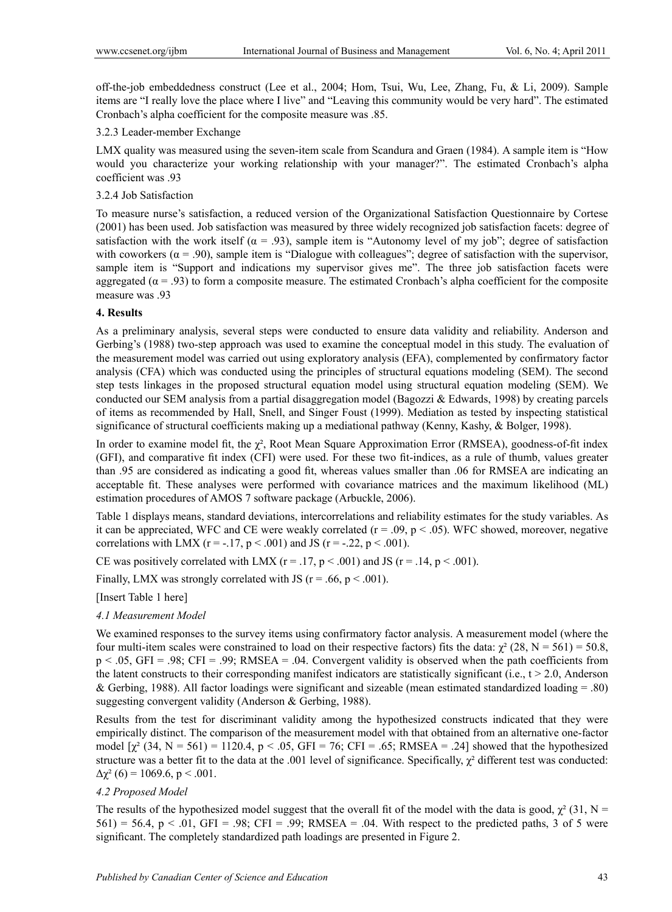off-the-job embeddedness construct (Lee et al., 2004; Hom, Tsui, Wu, Lee, Zhang, Fu, & Li, 2009). Sample items are "I really love the place where I live" and "Leaving this community would be very hard". The estimated Cronbach's alpha coefficient for the composite measure was .85.

## 3.2.3 Leader-member Exchange

LMX quality was measured using the seven-item scale from Scandura and Graen (1984). A sample item is "How would you characterize your working relationship with your manager?". The estimated Cronbach's alpha coefficient was .93

# 3.2.4 Job Satisfaction

To measure nurse's satisfaction, a reduced version of the Organizational Satisfaction Questionnaire by Cortese (2001) has been used. Job satisfaction was measured by three widely recognized job satisfaction facets: degree of satisfaction with the work itself ( $\alpha$  = .93), sample item is "Autonomy level of my job"; degree of satisfaction with coworkers ( $\alpha$  = .90), sample item is "Dialogue with colleagues"; degree of satisfaction with the supervisor, sample item is "Support and indications my supervisor gives me". The three job satisfaction facets were aggregated  $(\alpha = .93)$  to form a composite measure. The estimated Cronbach's alpha coefficient for the composite measure was .93

## **4. Results**

As a preliminary analysis, several steps were conducted to ensure data validity and reliability. Anderson and Gerbing's (1988) two-step approach was used to examine the conceptual model in this study. The evaluation of the measurement model was carried out using exploratory analysis (EFA), complemented by confirmatory factor analysis (CFA) which was conducted using the principles of structural equations modeling (SEM). The second step tests linkages in the proposed structural equation model using structural equation modeling (SEM). We conducted our SEM analysis from a partial disaggregation model (Bagozzi  $\&$  Edwards, 1998) by creating parcels of items as recommended by Hall, Snell, and Singer Foust (1999). Mediation as tested by inspecting statistical significance of structural coefficients making up a mediational pathway (Kenny, Kashy, & Bolger, 1998).

In order to examine model fit, the  $\chi^2$ , Root Mean Square Approximation Error (RMSEA), goodness-of-fit index (GFI), and comparative fit index (CFI) were used. For these two fit-indices, as a rule of thumb, values greater than .95 are considered as indicating a good fit, whereas values smaller than .06 for RMSEA are indicating an acceptable fit. These analyses were performed with covariance matrices and the maximum likelihood (ML) estimation procedures of AMOS 7 software package (Arbuckle, 2006).

Table 1 displays means, standard deviations, intercorrelations and reliability estimates for the study variables. As it can be appreciated, WFC and CE were weakly correlated  $(r = .09, p < .05)$ . WFC showed, moreover, negative correlations with LMX ( $r = -.17$ ,  $p < .001$ ) and JS ( $r = -.22$ ,  $p < .001$ ).

CE was positively correlated with LMX ( $r = .17$ ,  $p < .001$ ) and JS ( $r = .14$ ,  $p < .001$ ).

Finally, LMX was strongly correlated with JS ( $r = .66$ ,  $p < .001$ ).

[Insert Table 1 here]

# *4.1 Measurement Model*

We examined responses to the survey items using confirmatory factor analysis. A measurement model (where the four multi-item scales were constrained to load on their respective factors) fits the data:  $\gamma^2$  (28, N = 561) = 50.8,  $p < .05$ , GFI = .98; CFI = .99; RMSEA = .04. Convergent validity is observed when the path coefficients from the latent constructs to their corresponding manifest indicators are statistically significant (i.e.,  $t > 2.0$ , Anderson & Gerbing, 1988). All factor loadings were significant and sizeable (mean estimated standardized loading = .80) suggesting convergent validity (Anderson & Gerbing, 1988).

Results from the test for discriminant validity among the hypothesized constructs indicated that they were empirically distinct. The comparison of the measurement model with that obtained from an alternative one-factor model  $[\chi^2 (34, N = 561) = 1120.4, p < .05, GFI = 76; CFI = .65; RMSEA = .24]$  showed that the hypothesized structure was a better fit to the data at the .001 level of significance. Specifically,  $\chi^2$  different test was conducted:  $\Delta \chi^2$  (6) = 1069.6, p < .001.

# *4.2 Proposed Model*

The results of the hypothesized model suggest that the overall fit of the model with the data is good,  $\chi^2$  (31, N =  $561$ ) = 56.4, p < .01, GFI = .98; CFI = .99; RMSEA = .04. With respect to the predicted paths, 3 of 5 were significant. The completely standardized path loadings are presented in Figure 2.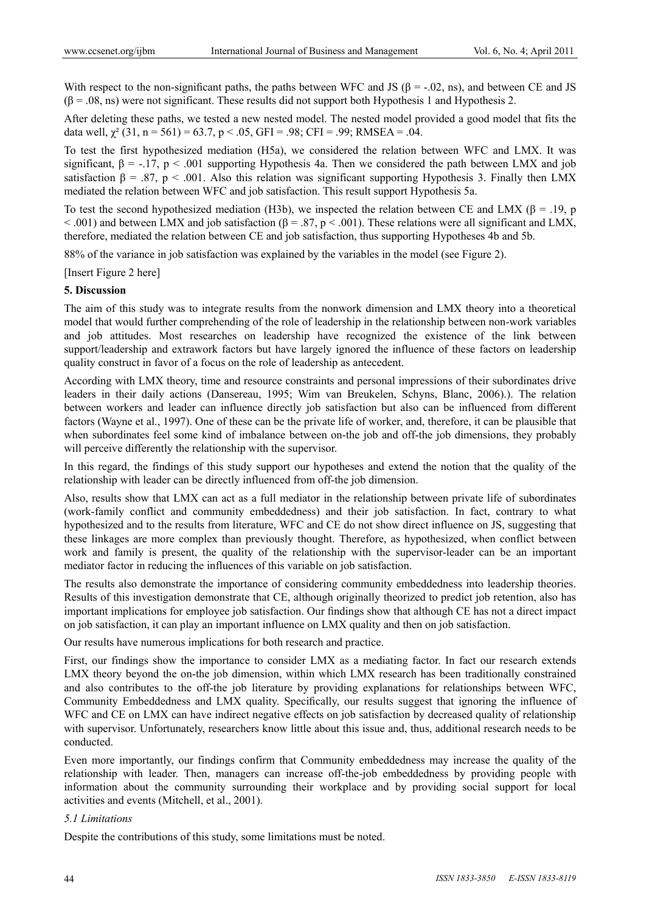With respect to the non-significant paths, the paths between WFC and JS ( $\beta$  = -.02, ns), and between CE and JS  $(\beta = .08, \text{ns})$  were not significant. These results did not support both Hypothesis 1 and Hypothesis 2.

After deleting these paths, we tested a new nested model. The nested model provided a good model that fits the data well,  $\chi^2$  (31, n = 561) = 63.7, p < .05, GFI = .98; CFI = .99; RMSEA = .04.

To test the first hypothesized mediation (H5a), we considered the relation between WFC and LMX. It was significant,  $\beta = -17$ , p < .001 supporting Hypothesis 4a. Then we considered the path between LMX and job satisfaction  $\beta = .87$ , p < .001. Also this relation was significant supporting Hypothesis 3. Finally then LMX mediated the relation between WFC and job satisfaction. This result support Hypothesis 5a.

To test the second hypothesized mediation (H3b), we inspected the relation between CE and LMX ( $\beta$  = .19, p < .001) and between LMX and job satisfaction (β = .87, p < .001). These relations were all significant and LMX, therefore, mediated the relation between CE and job satisfaction, thus supporting Hypotheses 4b and 5b.

88% of the variance in job satisfaction was explained by the variables in the model (see Figure 2).

[Insert Figure 2 here]

## **5. Discussion**

The aim of this study was to integrate results from the nonwork dimension and LMX theory into a theoretical model that would further comprehending of the role of leadership in the relationship between non-work variables and job attitudes. Most researches on leadership have recognized the existence of the link between support/leadership and extrawork factors but have largely ignored the influence of these factors on leadership quality construct in favor of a focus on the role of leadership as antecedent.

According with LMX theory, time and resource constraints and personal impressions of their subordinates drive leaders in their daily actions (Dansereau, 1995; Wim van Breukelen, Schyns, Blanc, 2006).). The relation between workers and leader can influence directly job satisfaction but also can be influenced from different factors (Wayne et al., 1997). One of these can be the private life of worker, and, therefore, it can be plausible that when subordinates feel some kind of imbalance between on-the job and off-the job dimensions, they probably will perceive differently the relationship with the supervisor.

In this regard, the findings of this study support our hypotheses and extend the notion that the quality of the relationship with leader can be directly influenced from off-the job dimension.

Also, results show that LMX can act as a full mediator in the relationship between private life of subordinates (work-family conflict and community embeddedness) and their job satisfaction. In fact, contrary to what hypothesized and to the results from literature, WFC and CE do not show direct influence on JS, suggesting that these linkages are more complex than previously thought. Therefore, as hypothesized, when conflict between work and family is present, the quality of the relationship with the supervisor-leader can be an important mediator factor in reducing the influences of this variable on job satisfaction.

The results also demonstrate the importance of considering community embeddedness into leadership theories. Results of this investigation demonstrate that CE, although originally theorized to predict job retention, also has important implications for employee job satisfaction. Our findings show that although CE has not a direct impact on job satisfaction, it can play an important influence on LMX quality and then on job satisfaction.

Our results have numerous implications for both research and practice.

First, our findings show the importance to consider LMX as a mediating factor. In fact our research extends LMX theory beyond the on-the job dimension, within which LMX research has been traditionally constrained and also contributes to the off-the job literature by providing explanations for relationships between WFC, Community Embeddedness and LMX quality. Specifically, our results suggest that ignoring the influence of WFC and CE on LMX can have indirect negative effects on job satisfaction by decreased quality of relationship with supervisor. Unfortunately, researchers know little about this issue and, thus, additional research needs to be conducted.

Even more importantly, our findings confirm that Community embeddedness may increase the quality of the relationship with leader. Then, managers can increase off-the-job embeddedness by providing people with information about the community surrounding their workplace and by providing social support for local activities and events (Mitchell, et al., 2001).

## *5.1 Limitations*

Despite the contributions of this study, some limitations must be noted.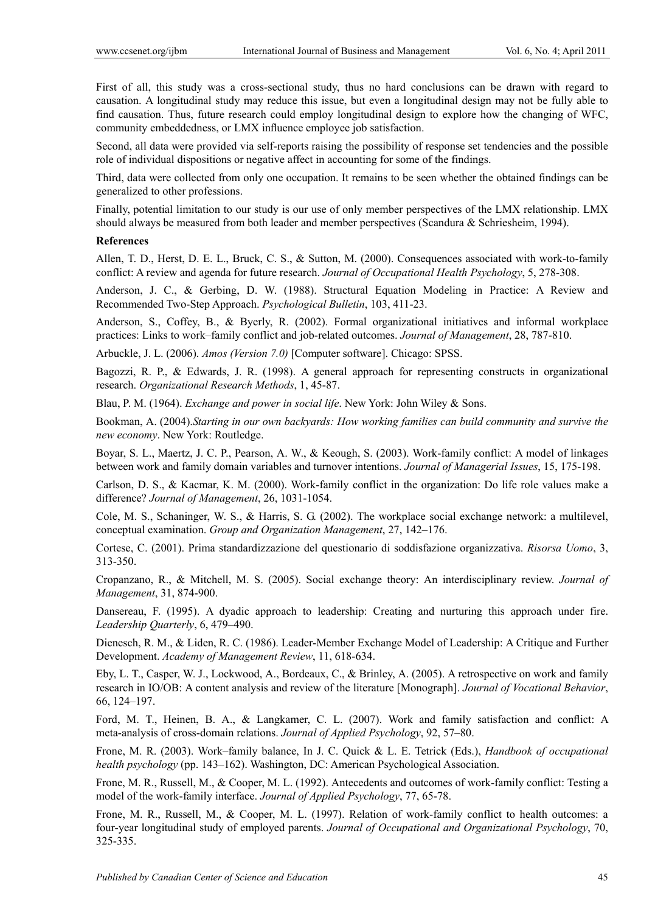First of all, this study was a cross-sectional study, thus no hard conclusions can be drawn with regard to causation. A longitudinal study may reduce this issue, but even a longitudinal design may not be fully able to find causation. Thus, future research could employ longitudinal design to explore how the changing of WFC, community embeddedness, or LMX influence employee job satisfaction.

Second, all data were provided via self-reports raising the possibility of response set tendencies and the possible role of individual dispositions or negative affect in accounting for some of the findings.

Third, data were collected from only one occupation. It remains to be seen whether the obtained findings can be generalized to other professions.

Finally, potential limitation to our study is our use of only member perspectives of the LMX relationship. LMX should always be measured from both leader and member perspectives (Scandura & Schriesheim, 1994).

## **References**

Allen, T. D., Herst, D. E. L., Bruck, C. S., & Sutton, M. (2000). Consequences associated with work-to-family conflict: A review and agenda for future research. *Journal of Occupational Health Psychology*, 5, 278-308.

Anderson, J. C., & Gerbing, D. W. (1988). Structural Equation Modeling in Practice: A Review and Recommended Two-Step Approach. *Psychological Bulletin*, 103, 411-23.

Anderson, S., Coffey, B., & Byerly, R. (2002). Formal organizational initiatives and informal workplace practices: Links to work–family conflict and job-related outcomes. *Journal of Management*, 28, 787-810.

Arbuckle, J. L. (2006). *Amos (Version 7.0)* [Computer software]. Chicago: SPSS.

Bagozzi, R. P., & Edwards, J. R. (1998). A general approach for representing constructs in organizational research. *Organizational Research Methods*, 1, 45-87.

Blau, P. M. (1964). *Exchange and power in social life*. New York: John Wiley & Sons.

Bookman, A. (2004).*Starting in our own backyards: How working families can build community and survive the new economy*. New York: Routledge.

Boyar, S. L., Maertz, J. C. P., Pearson, A. W., & Keough, S. (2003). Work-family conflict: A model of linkages between work and family domain variables and turnover intentions. *Journal of Managerial Issues*, 15, 175-198.

Carlson, D. S., & Kacmar, K. M. (2000). Work-family conflict in the organization: Do life role values make a difference? *Journal of Management*, 26, 1031-1054.

Cole, M. S., Schaninger, W. S., & Harris, S. G. (2002). The workplace social exchange network: a multilevel, conceptual examination. *Group and Organization Management*, 27, 142–176.

Cortese, C. (2001). Prima standardizzazione del questionario di soddisfazione organizzativa. *Risorsa Uomo*, 3, 313-350.

Cropanzano, R., & Mitchell, M. S. (2005). Social exchange theory: An interdisciplinary review. *Journal of Management*, 31, 874-900.

Dansereau, F. (1995). A dyadic approach to leadership: Creating and nurturing this approach under fire. *Leadership Quarterly*, 6, 479–490.

Dienesch, R. M., & Liden, R. C. (1986). Leader-Member Exchange Model of Leadership: A Critique and Further Development. *Academy of Management Review*, 11, 618-634.

Eby, L. T., Casper, W. J., Lockwood, A., Bordeaux, C., & Brinley, A. (2005). A retrospective on work and family research in IO/OB: A content analysis and review of the literature [Monograph]. *Journal of Vocational Behavior*, 66, 124–197.

Ford, M. T., Heinen, B. A., & Langkamer, C. L. (2007). Work and family satisfaction and conflict: A meta-analysis of cross-domain relations. *Journal of Applied Psychology*, 92, 57–80.

Frone, M. R. (2003). Work–family balance, In J. C. Quick & L. E. Tetrick (Eds.), *Handbook of occupational health psychology* (pp. 143–162). Washington, DC: American Psychological Association.

Frone, M. R., Russell, M., & Cooper, M. L. (1992). Antecedents and outcomes of work-family conflict: Testing a model of the work-family interface. *Journal of Applied Psychology*, 77, 65-78.

Frone, M. R., Russell, M., & Cooper, M. L. (1997). Relation of work-family conflict to health outcomes: a four-year longitudinal study of employed parents. *Journal of Occupational and Organizational Psychology*, 70, 325-335.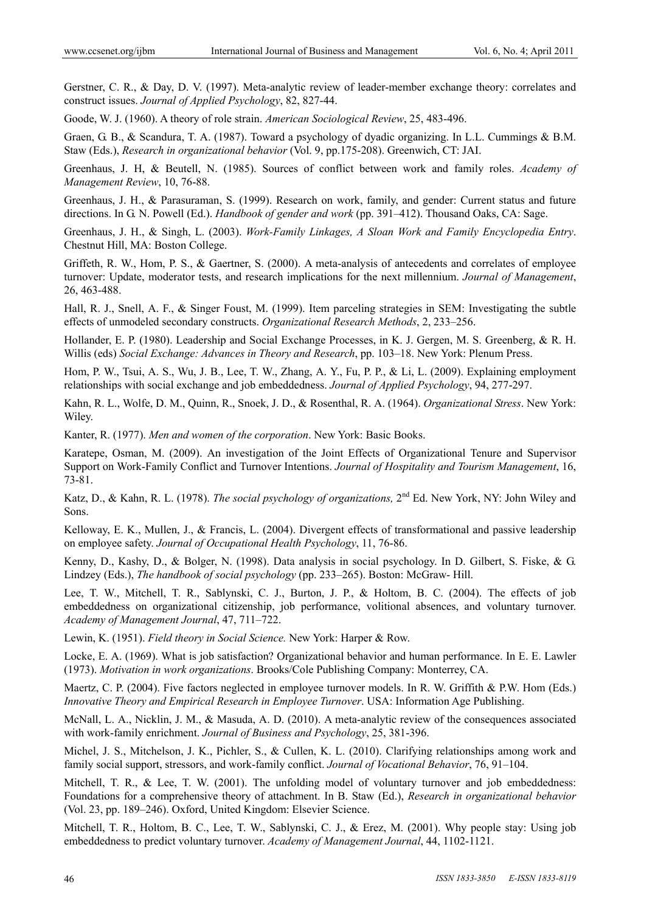Gerstner, C. R., & Day, D. V. (1997). Meta-analytic review of leader-member exchange theory: correlates and construct issues. *Journal of Applied Psychology*, 82, 827-44.

Goode, W. J. (1960). A theory of role strain. *American Sociological Review*, 25, 483-496.

Graen, G. B., & Scandura, T. A. (1987). Toward a psychology of dyadic organizing. In L.L. Cummings & B.M. Staw (Eds.), *Research in organizational behavior* (Vol. 9, pp.175-208). Greenwich, CT: JAI.

Greenhaus, J. H, & Beutell, N. (1985). Sources of conflict between work and family roles. *Academy of Management Review*, 10, 76-88.

Greenhaus, J. H., & Parasuraman, S. (1999). Research on work, family, and gender: Current status and future directions. In G. N. Powell (Ed.). *Handbook of gender and work* (pp. 391–412). Thousand Oaks, CA: Sage.

Greenhaus, J. H., & Singh, L. (2003). *Work-Family Linkages, A Sloan Work and Family Encyclopedia Entry*. Chestnut Hill, MA: Boston College.

Griffeth, R. W., Hom, P. S., & Gaertner, S. (2000). A meta-analysis of antecedents and correlates of employee turnover: Update, moderator tests, and research implications for the next millennium. *Journal of Management*, 26, 463-488.

Hall, R. J., Snell, A. F., & Singer Foust, M. (1999). Item parceling strategies in SEM: Investigating the subtle effects of unmodeled secondary constructs. *Organizational Research Methods*, 2, 233–256.

Hollander, E. P. (1980). Leadership and Social Exchange Processes, in K. J. Gergen, M. S. Greenberg, & R. H. Willis (eds) *Social Exchange: Advances in Theory and Research*, pp. 103–18. New York: Plenum Press.

Hom, P. W., Tsui, A. S., Wu, J. B., Lee, T. W., Zhang, A. Y., Fu, P. P., & Li, L. (2009). Explaining employment relationships with social exchange and job embeddedness. *Journal of Applied Psychology*, 94, 277-297.

Kahn, R. L., Wolfe, D. M., Quinn, R., Snoek, J. D., & Rosenthal, R. A. (1964). *Organizational Stress*. New York: Wiley.

Kanter, R. (1977). *Men and women of the corporation*. New York: Basic Books.

Karatepe, Osman, M. (2009). An investigation of the Joint Effects of Organizational Tenure and Supervisor Support on Work-Family Conflict and Turnover Intentions. *Journal of Hospitality and Tourism Management*, 16, 73-81.

Katz, D., & Kahn, R. L. (1978). *The social psychology of organizations,* 2nd Ed. New York, NY: John Wiley and Sons.

Kelloway, E. K., Mullen, J., & Francis, L. (2004). Divergent effects of transformational and passive leadership on employee safety. *Journal of Occupational Health Psychology*, 11, 76-86.

Kenny, D., Kashy, D., & Bolger, N. (1998). Data analysis in social psychology. In D. Gilbert, S. Fiske, & G. Lindzey (Eds.), *The handbook of social psychology* (pp. 233–265). Boston: McGraw- Hill.

Lee, T. W., Mitchell, T. R., Sablynski, C. J., Burton, J. P., & Holtom, B. C. (2004). The effects of job embeddedness on organizational citizenship, job performance, volitional absences, and voluntary turnover. *Academy of Management Journal*, 47, 711–722.

Lewin, K. (1951). *Field theory in Social Science.* New York: Harper & Row.

Locke, E. A. (1969). What is job satisfaction? Organizational behavior and human performance. In E. E. Lawler (1973). *Motivation in work organizations*. Brooks/Cole Publishing Company: Monterrey, CA.

Maertz, C. P. (2004). Five factors neglected in employee turnover models. In R. W. Griffith & P.W. Hom (Eds.) *Innovative Theory and Empirical Research in Employee Turnover*. USA: Information Age Publishing.

McNall, L. A., Nicklin, J. M., & Masuda, A. D. (2010). A meta-analytic review of the consequences associated with work-family enrichment. *Journal of Business and Psychology*, 25, 381-396.

Michel, J. S., Mitchelson, J. K., Pichler, S., & Cullen, K. L. (2010). Clarifying relationships among work and family social support, stressors, and work-family conflict. *Journal of Vocational Behavior*, 76, 91–104.

Mitchell, T. R., & Lee, T. W. (2001). The unfolding model of voluntary turnover and job embeddedness: Foundations for a comprehensive theory of attachment. In B. Staw (Ed.), *Research in organizational behavior* (Vol. 23, pp. 189–246). Oxford, United Kingdom: Elsevier Science.

Mitchell, T. R., Holtom, B. C., Lee, T. W., Sablynski, C. J., & Erez, M. (2001). Why people stay: Using job embeddedness to predict voluntary turnover. *Academy of Management Journal*, 44, 1102-1121.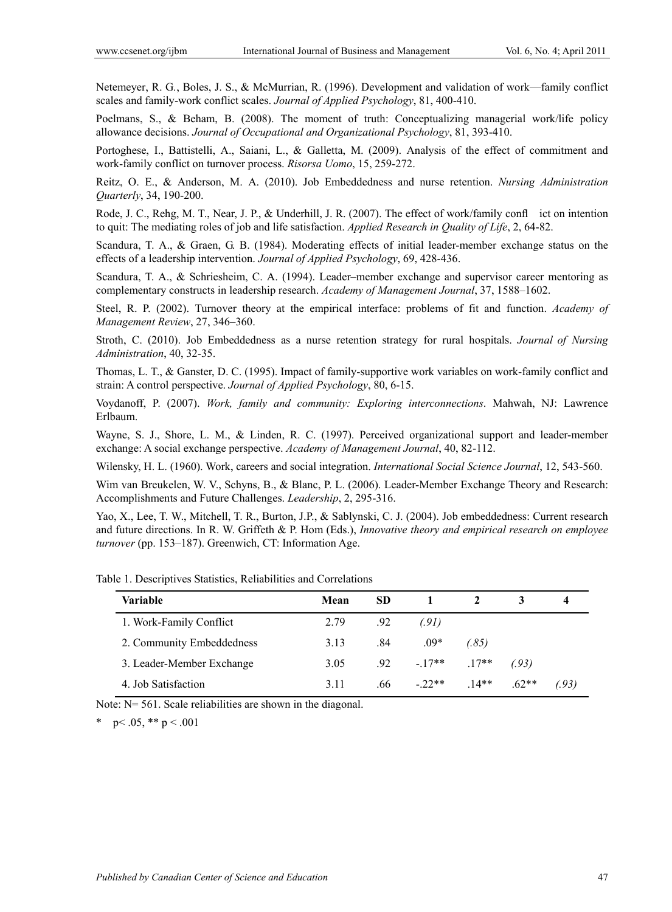Netemeyer, R. G*.*, Boles, J. S., & McMurrian, R. (1996). Development and validation of work—family conflict scales and family-work conflict scales. *Journal of Applied Psychology*, 81, 400-410.

Poelmans, S., & Beham, B. (2008). The moment of truth: Conceptualizing managerial work/life policy allowance decisions. *Journal of Occupational and Organizational Psychology*, 81, 393-410.

Portoghese, I., Battistelli, A., Saiani, L., & Galletta, M. (2009). Analysis of the effect of commitment and work-family conflict on turnover process. *Risorsa Uomo*, 15, 259-272.

Reitz, O. E., & Anderson, M. A. (2010). Job Embeddedness and nurse retention. *Nursing Administration Quarterly*, 34, 190-200.

Rode, J. C., Rehg, M. T., Near, J. P., & Underhill, J. R. (2007). The effect of work/family confl ict on intention to quit: The mediating roles of job and life satisfaction. *Applied Research in Quality of Life*, 2, 64-82.

Scandura, T. A., & Graen, G. B. (1984). Moderating effects of initial leader-member exchange status on the effects of a leadership intervention. *Journal of Applied Psychology*, 69, 428-436.

Scandura, T. A., & Schriesheim, C. A. (1994). Leader–member exchange and supervisor career mentoring as complementary constructs in leadership research. *Academy of Management Journal*, 37, 1588–1602.

Steel, R. P. (2002). Turnover theory at the empirical interface: problems of fit and function. *Academy of Management Review*, 27, 346–360.

Stroth, C. (2010). Job Embeddedness as a nurse retention strategy for rural hospitals. *Journal of Nursing Administration*, 40, 32-35.

Thomas, L. T., & Ganster, D. C. (1995). Impact of family-supportive work variables on work-family conflict and strain: A control perspective. *Journal of Applied Psychology*, 80, 6-15.

Voydanoff, P. (2007). *Work, family and community: Exploring interconnections*. Mahwah, NJ: Lawrence Erlbaum.

Wayne, S. J., Shore, L. M., & Linden, R. C. (1997). Perceived organizational support and leader-member exchange: A social exchange perspective. *Academy of Management Journal*, 40, 82-112.

Wilensky, H. L. (1960). Work, careers and social integration. *International Social Science Journal*, 12, 543-560.

Wim van Breukelen, W. V., Schyns, B., & Blanc, P. L. (2006). Leader-Member Exchange Theory and Research: Accomplishments and Future Challenges. *Leadership*, 2, 295-316.

Yao, X., Lee, T. W., Mitchell, T. R., Burton, J.P., & Sablynski, C. J. (2004). Job embeddedness: Current research and future directions. In R. W. Griffeth & P. Hom (Eds.), *Innovative theory and empirical research on employee turnover* (pp. 153–187). Greenwich, CT: Information Age.

| Variable                  | Mean  | <b>SD</b> |         |         |         |      |
|---------------------------|-------|-----------|---------|---------|---------|------|
| 1. Work-Family Conflict   | 2.79  | .92       | (91)    |         |         |      |
| 2. Community Embeddedness | 3.13  | .84       | $.09*$  | (.85)   |         |      |
| 3. Leader-Member Exchange | 3.05  | .92       | $-17**$ | $17**$  | (.93)   |      |
| 4. Job Satisfaction       | 3 1 1 | .66       | $-22**$ | $.14**$ | $.62**$ | (93) |

Table 1. Descriptives Statistics, Reliabilities and Correlations

Note: N= 561. Scale reliabilities are shown in the diagonal.

\* p < .05, \*\* p < .001